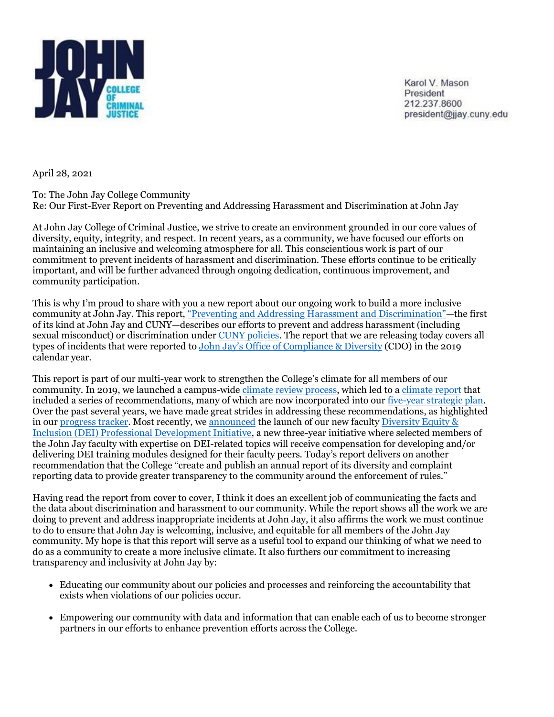

Karol V. Mason President 212 237 8600 president@jjay.cuny.edu

April 28, 2021

To: The John Jay College Community Re: Our First-Ever Report on Preventing and Addressing Harassment and Discrimination at John Jay

At John Jay College of Criminal Justice, we strive to create an environment grounded in our core values of diversity, equity, integrity, and respect. In recent years, as a community, we have focused our efforts on maintaining an inclusive and welcoming atmosphere for all. This conscientious work is part of our commitment to prevent incidents of harassment and discrimination. These efforts continue to be critically important, and will be further advanced through ongoing dedication, continuous improvement, and community participation.

This is why I'm proud to share with you a new report about our ongoing work to build a more inclusive community at John Jay. This report, ["Preventing and Addressing Harassment and Discrimination"—](http://r20.rs6.net/tn.jsp?f=001myCC66-xmb5TBMZ4v3fIPogODtuAXCtzOjg-QwWFVNXnMQHFaH_FbLdXIk9UIzi9nXTDPK-vMHi6Om2_fWWoC-VRYnkGnApzyGBFUvU99fjwg9pUooE3HCTmAoBHTJaKrsxzLlfGj4DIRyJTWFDK4D5Pl2G3qDJ7uxhn7CDR4jw=&c=y2KLGefTEBDNmz6uOB9W-sn17maRoSUVjeCQo8SB6nJZogp1UOnWuw==&ch=pz7fvCFaivwHsoiOf3NcCL-AyVdVEtUCtnGCrNiNN56jTQId6WGYtw==)the first of its kind at John Jay and CUNY—describes our efforts to prevent and address harassment (including sexual misconduct) or discrimination under [CUNY policies.](http://r20.rs6.net/tn.jsp?f=001myCC66-xmb5TBMZ4v3fIPogODtuAXCtzOjg-QwWFVNXnMQHFaH_FbLdXIk9UIzi9xf8u5URDDLlrF-1nQb9f9ve2tL0k99_OCic5Weut6wArCW1SH9NZRM2urLWdUaPNCERoyK5_j3f8_rl-rhoAJV1id6E_TC5FRNCywe3kZeYc9L_ZSDFemeR5BxviJJEb&c=y2KLGefTEBDNmz6uOB9W-sn17maRoSUVjeCQo8SB6nJZogp1UOnWuw==&ch=pz7fvCFaivwHsoiOf3NcCL-AyVdVEtUCtnGCrNiNN56jTQId6WGYtw==) The report that we are releasing today covers all types of incidents that were reported to [John Jay's Office of Compliance & Diversity](http://r20.rs6.net/tn.jsp?f=001myCC66-xmb5TBMZ4v3fIPogODtuAXCtzOjg-QwWFVNXnMQHFaH_FbOKoDZJ44NvFEJ1jyKTudAD3UF0FaGIzCoxL5prKug4D9opTdsWCVXwrNo-5jRmFb5ZlLDj0nqFIchnaJS5A9DZ2ZG8jLQVdfWEOWCKOW0Y9oFGqUaFcVDl-rEgflSRV2Dnbq4WCYNHEnyxAnKYaRB17CflUJfOQeeObRsrXEjarpT8WaqhJhNUIVkxLyQ04zQ==&c=y2KLGefTEBDNmz6uOB9W-sn17maRoSUVjeCQo8SB6nJZogp1UOnWuw==&ch=pz7fvCFaivwHsoiOf3NcCL-AyVdVEtUCtnGCrNiNN56jTQId6WGYtw==) (CDO) in the 2019 calendar year.

This report is part of our multi-year work to strengthen the College's climate for all members of our community. In 2019, we launched a campus-wide [climate review process,](http://r20.rs6.net/tn.jsp?f=001myCC66-xmb5TBMZ4v3fIPogODtuAXCtzOjg-QwWFVNXnMQHFaH_FbH74vryNX6vr_qCu1b1JKXxGARHnRIQuFFNfSgjMBwVm9FolbxDi1TUQ47VvkAUt0if7GkcmAon3evrhUO0uS68zP0JiVLXgolqoQaMeWSwf10thU4uNUIE=&c=y2KLGefTEBDNmz6uOB9W-sn17maRoSUVjeCQo8SB6nJZogp1UOnWuw==&ch=pz7fvCFaivwHsoiOf3NcCL-AyVdVEtUCtnGCrNiNN56jTQId6WGYtw==) which led to a [climate report](http://r20.rs6.net/tn.jsp?f=001myCC66-xmb5TBMZ4v3fIPogODtuAXCtzOjg-QwWFVNXnMQHFaH_FbMM76y34U1VP9zk60zeTftoUoOuyp3odHi3fye00F_bXoWohLVJwJCFRQkFb7Gk9tJgdBlh8GLdmIGngShUIqaCB36dPT51VW2FGOyK8CNxoDXwhkPGyGqlOYd2Lexg2MZKBQlL-Vpaa2-O9QBOUlrsqi-HgG_xo-7QcJ3iliIjZS02DqMzl3bntzRjhPD5-Lo4-x2ZspPoB&c=y2KLGefTEBDNmz6uOB9W-sn17maRoSUVjeCQo8SB6nJZogp1UOnWuw==&ch=pz7fvCFaivwHsoiOf3NcCL-AyVdVEtUCtnGCrNiNN56jTQId6WGYtw==) that included a series of recommendations, many of which are now incorporated into our [five-year strategic plan.](http://r20.rs6.net/tn.jsp?f=001myCC66-xmb5TBMZ4v3fIPogODtuAXCtzOjg-QwWFVNXnMQHFaH_FbEV5ZRofDUPKl2LHGsZeJt54l2mFpCgJ7Br3OCKD0GeUIbpZsgktQvig5ywpl7MC8PaBdr_rxxrJG78jGvYM4nQTyZQlld1z-FhCc48PCi4tAu5zrMzCOjGIFk1zsPS2fewK6p-6SLNT5ZquneU_CkxSInrf4ITHK1YfNqPfDai8LOlwpMh0iNQ=&c=y2KLGefTEBDNmz6uOB9W-sn17maRoSUVjeCQo8SB6nJZogp1UOnWuw==&ch=pz7fvCFaivwHsoiOf3NcCL-AyVdVEtUCtnGCrNiNN56jTQId6WGYtw==) Over the past several years, we have made great strides in addressing these recommendations, as highlighted in our [progress tracker.](http://r20.rs6.net/tn.jsp?f=001myCC66-xmb5TBMZ4v3fIPogODtuAXCtzOjg-QwWFVNXnMQHFaH_FbLdXIk9UIzi9cx4gnZfBx7IDbkVLqfF5Fc3dqsLwInAtbRLwBPnlszm9Pj6S8wOkCqwxx2nZEXzrJEbxyB8tqqBt7d1Im04-rBM5Qwpqb2uiixSik_FFdie2Z53cEPHA9cmXdrvoV0VuSyHl5nFH7fI3KhjvjR-140PCoKtRLfd_PH9z_-2khi1xo_fbrox99Jo-2K3aGZJB8Ov-57jmYDRSbVxrXBc53YRK0rFFeWr-EMuAOkhY-T0=&c=y2KLGefTEBDNmz6uOB9W-sn17maRoSUVjeCQo8SB6nJZogp1UOnWuw==&ch=pz7fvCFaivwHsoiOf3NcCL-AyVdVEtUCtnGCrNiNN56jTQId6WGYtw==) Most recently, we [announced](http://r20.rs6.net/tn.jsp?f=001myCC66-xmb5TBMZ4v3fIPogODtuAXCtzOjg-QwWFVNXnMQHFaH_FbLdXIk9UIzi9-GOHdLrhAkrN0RQ7z1rLjAq43CTaMQ1YhWUWJv2dbfCsaiW91LNaRoi6vpcQH5qEv5xBBwdv_4nirQk2jN4Dq6omEESQvVhQ9RTzYMdDJ4P5d25c4mUp8LhJnAqWL3rddhHRB9lB3dX7mdYL2AinZgDX_BodYY9kwX9nZHNzgByYe109MOqNVY2lp2MM7H_u&c=y2KLGefTEBDNmz6uOB9W-sn17maRoSUVjeCQo8SB6nJZogp1UOnWuw==&ch=pz7fvCFaivwHsoiOf3NcCL-AyVdVEtUCtnGCrNiNN56jTQId6WGYtw==) the launch of our new faculty Diversity Equity & [Inclusion \(DEI\) Professional Development Initiative,](http://r20.rs6.net/tn.jsp?f=001myCC66-xmb5TBMZ4v3fIPogODtuAXCtzOjg-QwWFVNXnMQHFaH_FbOKoDZJ44NvFzdaW1vActHE3Fv1Z6qe6HdFfCoD8mkaaJ1K6FG3ddx94dxgRiC5byn35HRnvwvLZRz9eSwfwRKaVBrhdmlgJq74aDCm9eE4UJtHc_2E-IFOk-4NQFezM9EffKDHTltR7d8lORKsRMhksS34-RUZViq3v_rgHfIBqYSfkDn4ccTkmvLpnNMmxPrdkSwxPJbKq&c=y2KLGefTEBDNmz6uOB9W-sn17maRoSUVjeCQo8SB6nJZogp1UOnWuw==&ch=pz7fvCFaivwHsoiOf3NcCL-AyVdVEtUCtnGCrNiNN56jTQId6WGYtw==) a new three-year initiative where selected members of the John Jay faculty with expertise on DEI-related topics will receive compensation for developing and/or delivering DEI training modules designed for their faculty peers. Today's report delivers on another recommendation that the College "create and publish an annual report of its diversity and complaint reporting data to provide greater transparency to the community around the enforcement of rules."

Having read the report from cover to cover, I think it does an excellent job of communicating the facts and the data about discrimination and harassment to our community. While the report shows all the work we are doing to prevent and address inappropriate incidents at John Jay, it also affirms the work we must continue to do to ensure that John Jay is welcoming, inclusive, and equitable for all members of the John Jay community. My hope is that this report will serve as a useful tool to expand our thinking of what we need to do as a community to create a more inclusive climate. It also furthers our commitment to increasing transparency and inclusivity at John Jay by:

- Educating our community about our policies and processes and reinforcing the accountability that exists when violations of our policies occur.
- Empowering our community with data and information that can enable each of us to become stronger partners in our efforts to enhance prevention efforts across the College.